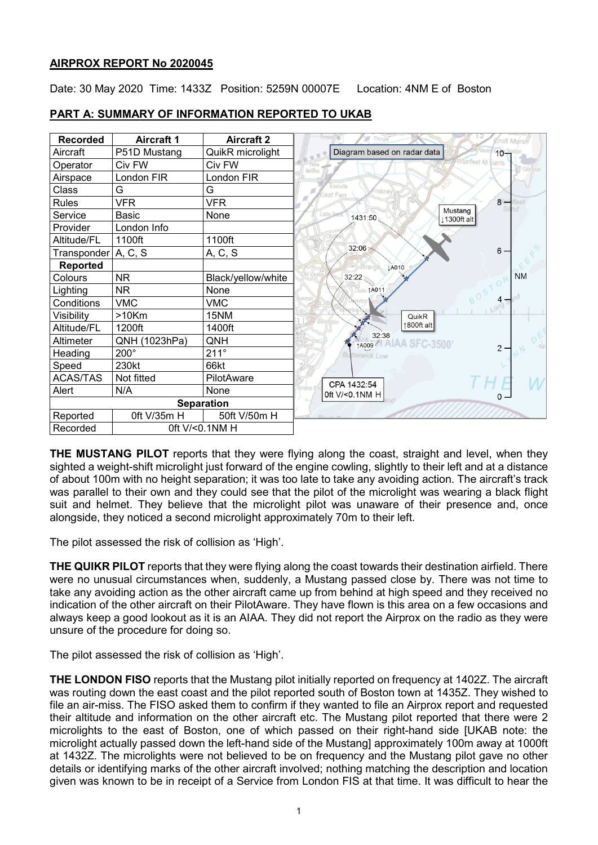## **AIRPROX REPORT No 2020045**

Date: 30 May 2020 Time: 1433Z Position: 5259N 00007E Location: 4NM E of Boston

| <b>Recorded</b> | <b>Aircraft 1</b> | <b>Aircraft 2</b>  |
|-----------------|-------------------|--------------------|
| Aircraft        | P51D Mustang      | QuikR microlight   |
| Operator        | Civ FW            | Civ FW             |
| Airspace        | London FIR        | London FIR         |
| Class           | G                 | G                  |
| <b>Rules</b>    | <b>VFR</b>        | <b>VFR</b>         |
| Service         | <b>Basic</b>      | None               |
| Provider        | London Info       |                    |
| Altitude/FL     | 1100ft            | 1100ft             |
| Transponder     | A, C, S           | A, C, S            |
| <b>Reported</b> |                   |                    |
| Colours         | <b>NR</b>         | Black/yellow/white |
| Lighting        | <b>NR</b>         | None               |
| Conditions      | <b>VMC</b>        | <b>VMC</b>         |
| Visibility      | $>10$ Km          | 15NM               |
| Altitude/FL     | 1200ft            | 1400ft             |
| Altimeter       | QNH (1023hPa)     | QNH                |
| Heading         | $200^\circ$       | $211^\circ$        |
| Speed           | 230kt             | 66kt               |
| <b>ACAS/TAS</b> | Not fitted        | PilotAware         |
| Alert           | N/A               | None               |
|                 |                   | <b>Separation</b>  |
| Reported        | 0ft V/35m H       | 50ft V/50m H       |
| Recorded        |                   | 0ft V/<0.1NM H     |

# **PART A: SUMMARY OF INFORMATION REPORTED TO UKAB**

**THE MUSTANG PILOT** reports that they were flying along the coast, straight and level, when they sighted a weight-shift microlight just forward of the engine cowling, slightly to their left and at a distance of about 100m with no height separation; it was too late to take any avoiding action. The aircraft's track was parallel to their own and they could see that the pilot of the microlight was wearing a black flight suit and helmet. They believe that the microlight pilot was unaware of their presence and, once alongside, they noticed a second microlight approximately 70m to their left.

The pilot assessed the risk of collision as 'High'.

**THE QUIKR PILOT** reports that they were flying along the coast towards their destination airfield. There were no unusual circumstances when, suddenly, a Mustang passed close by. There was not time to take any avoiding action as the other aircraft came up from behind at high speed and they received no indication of the other aircraft on their PilotAware. They have flown is this area on a few occasions and always keep a good lookout as it is an AIAA. They did not report the Airprox on the radio as they were unsure of the procedure for doing so.

The pilot assessed the risk of collision as 'High'.

**THE LONDON FISO** reports that the Mustang pilot initially reported on frequency at 1402Z. The aircraft was routing down the east coast and the pilot reported south of Boston town at 1435Z. They wished to file an air-miss. The FISO asked them to confirm if they wanted to file an Airprox report and requested their altitude and information on the other aircraft etc. The Mustang pilot reported that there were 2 microlights to the east of Boston, one of which passed on their right-hand side [UKAB note: the microlight actually passed down the left-hand side of the Mustang] approximately 100m away at 1000ft at 1432Z. The microlights were not believed to be on frequency and the Mustang pilot gave no other details or identifying marks of the other aircraft involved; nothing matching the description and location given was known to be in receipt of a Service from London FIS at that time. It was difficult to hear the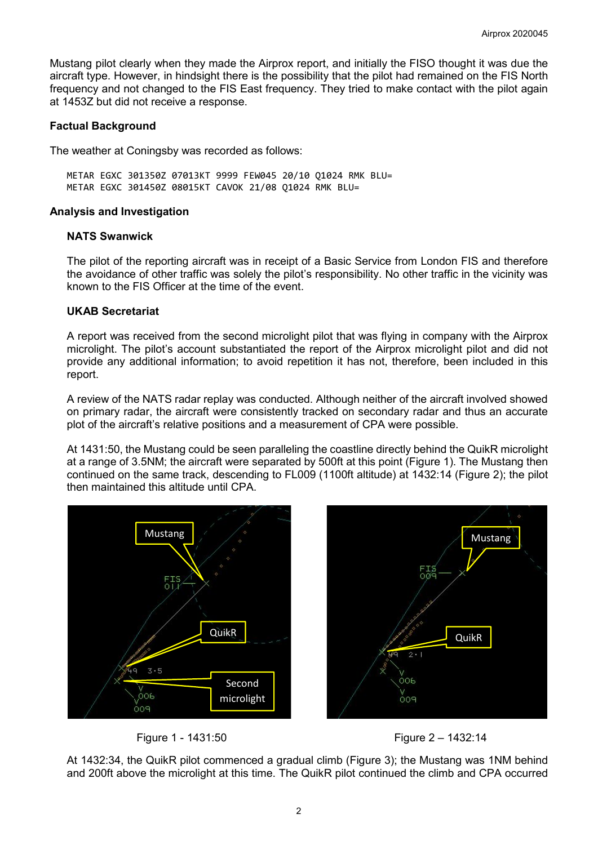Mustang pilot clearly when they made the Airprox report, and initially the FISO thought it was due the aircraft type. However, in hindsight there is the possibility that the pilot had remained on the FIS North frequency and not changed to the FIS East frequency. They tried to make contact with the pilot again at 1453Z but did not receive a response.

## **Factual Background**

The weather at Coningsby was recorded as follows:

METAR EGXC 301350Z 07013KT 9999 FEW045 20/10 Q1024 RMK BLU= METAR EGXC 301450Z 08015KT CAVOK 21/08 Q1024 RMK BLU=

#### **Analysis and Investigation**

## **NATS Swanwick**

The pilot of the reporting aircraft was in receipt of a Basic Service from London FIS and therefore the avoidance of other traffic was solely the pilot's responsibility. No other traffic in the vicinity was known to the FIS Officer at the time of the event.

## **UKAB Secretariat**

A report was received from the second microlight pilot that was flying in company with the Airprox microlight. The pilot's account substantiated the report of the Airprox microlight pilot and did not provide any additional information; to avoid repetition it has not, therefore, been included in this report.

A review of the NATS radar replay was conducted. Although neither of the aircraft involved showed on primary radar, the aircraft were consistently tracked on secondary radar and thus an accurate plot of the aircraft's relative positions and a measurement of CPA were possible.

At 1431:50, the Mustang could be seen paralleling the coastline directly behind the QuikR microlight at a range of 3.5NM; the aircraft were separated by 500ft at this point (Figure 1). The Mustang then continued on the same track, descending to FL009 (1100ft altitude) at 1432:14 (Figure 2); the pilot then maintained this altitude until CPA.



Figure 1 - 1431:50 Figure 2 – 1432:14

At 1432:34, the QuikR pilot commenced a gradual climb (Figure 3); the Mustang was 1NM behind and 200ft above the microlight at this time. The QuikR pilot continued the climb and CPA occurred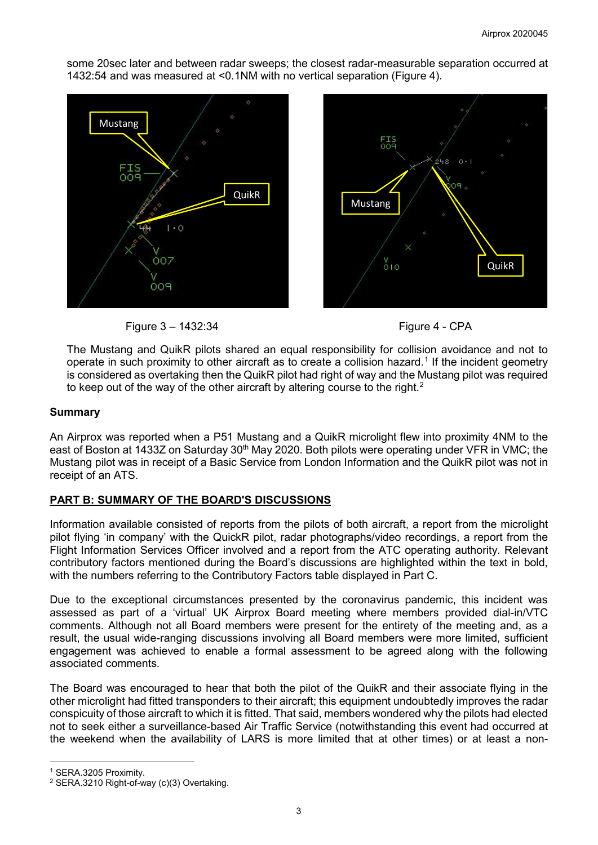some 20sec later and between radar sweeps; the closest radar-measurable separation occurred at 1432:54 and was measured at <0.1NM with no vertical separation (Figure 4).









The Mustang and QuikR pilots shared an equal responsibility for collision avoidance and not to operate in such proximity to other aircraft as to create a collision hazard. [1](#page-2-0) If the incident geometry is considered as overtaking then the QuikR pilot had right of way and the Mustang pilot was required to keep out of the way of the other aircraft by altering course to the right.<sup>[2](#page-2-1)</sup>

#### **Summary**

An Airprox was reported when a P51 Mustang and a QuikR microlight flew into proximity 4NM to the east of Boston at 1433Z on Saturday 30<sup>th</sup> May 2020. Both pilots were operating under VFR in VMC; the Mustang pilot was in receipt of a Basic Service from London Information and the QuikR pilot was not in receipt of an ATS.

## **PART B: SUMMARY OF THE BOARD'S DISCUSSIONS**

Information available consisted of reports from the pilots of both aircraft, a report from the microlight pilot flying 'in company' with the QuickR pilot, radar photographs/video recordings, a report from the Flight Information Services Officer involved and a report from the ATC operating authority. Relevant contributory factors mentioned during the Board's discussions are highlighted within the text in bold, with the numbers referring to the Contributory Factors table displayed in Part C.

Due to the exceptional circumstances presented by the coronavirus pandemic, this incident was assessed as part of a 'virtual' UK Airprox Board meeting where members provided dial-in/VTC comments. Although not all Board members were present for the entirety of the meeting and, as a result, the usual wide-ranging discussions involving all Board members were more limited, sufficient engagement was achieved to enable a formal assessment to be agreed along with the following associated comments.

The Board was encouraged to hear that both the pilot of the QuikR and their associate flying in the other microlight had fitted transponders to their aircraft; this equipment undoubtedly improves the radar conspicuity of those aircraft to which it is fitted. That said, members wondered why the pilots had elected not to seek either a surveillance-based Air Traffic Service (notwithstanding this event had occurred at the weekend when the availability of LARS is more limited that at other times) or at least a non-

 $\overline{\phantom{a}}$ 

<span id="page-2-0"></span><sup>1</sup> SERA.3205 Proximity.

<span id="page-2-1"></span><sup>2</sup> SERA.3210 Right-of-way (c)(3) Overtaking.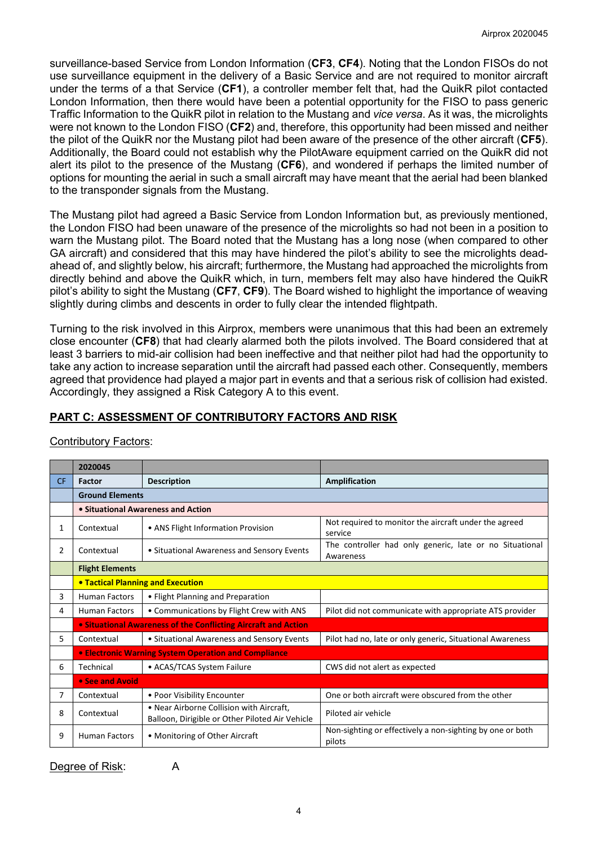surveillance-based Service from London Information (**CF3**, **CF4**). Noting that the London FISOs do not use surveillance equipment in the delivery of a Basic Service and are not required to monitor aircraft under the terms of a that Service (**CF1**), a controller member felt that, had the QuikR pilot contacted London Information, then there would have been a potential opportunity for the FISO to pass generic Traffic Information to the QuikR pilot in relation to the Mustang and *vice versa*. As it was, the microlights were not known to the London FISO (**CF2**) and, therefore, this opportunity had been missed and neither the pilot of the QuikR nor the Mustang pilot had been aware of the presence of the other aircraft (**CF5**). Additionally, the Board could not establish why the PilotAware equipment carried on the QuikR did not alert its pilot to the presence of the Mustang (**CF6**), and wondered if perhaps the limited number of options for mounting the aerial in such a small aircraft may have meant that the aerial had been blanked to the transponder signals from the Mustang.

The Mustang pilot had agreed a Basic Service from London Information but, as previously mentioned, the London FISO had been unaware of the presence of the microlights so had not been in a position to warn the Mustang pilot. The Board noted that the Mustang has a long nose (when compared to other GA aircraft) and considered that this may have hindered the pilot's ability to see the microlights deadahead of, and slightly below, his aircraft; furthermore, the Mustang had approached the microlights from directly behind and above the QuikR which, in turn, members felt may also have hindered the QuikR pilot's ability to sight the Mustang (**CF7**, **CF9**). The Board wished to highlight the importance of weaving slightly during climbs and descents in order to fully clear the intended flightpath.

Turning to the risk involved in this Airprox, members were unanimous that this had been an extremely close encounter (**CF8**) that had clearly alarmed both the pilots involved. The Board considered that at least 3 barriers to mid-air collision had been ineffective and that neither pilot had had the opportunity to take any action to increase separation until the aircraft had passed each other. Consequently, members agreed that providence had played a major part in events and that a serious risk of collision had existed. Accordingly, they assigned a Risk Category A to this event.

## **PART C: ASSESSMENT OF CONTRIBUTORY FACTORS AND RISK**

|           | 2020045                                                                                                   |                                                                |                                                                      |  |  |  |  |  |  |
|-----------|-----------------------------------------------------------------------------------------------------------|----------------------------------------------------------------|----------------------------------------------------------------------|--|--|--|--|--|--|
| <b>CF</b> | <b>Factor</b>                                                                                             | <b>Description</b>                                             | Amplification                                                        |  |  |  |  |  |  |
|           | <b>Ground Elements</b>                                                                                    |                                                                |                                                                      |  |  |  |  |  |  |
|           | • Situational Awareness and Action                                                                        |                                                                |                                                                      |  |  |  |  |  |  |
| 1         | Contextual                                                                                                | • ANS Flight Information Provision                             | Not required to monitor the aircraft under the agreed<br>service     |  |  |  |  |  |  |
| 2         | Contextual                                                                                                | • Situational Awareness and Sensory Events                     | The controller had only generic, late or no Situational<br>Awareness |  |  |  |  |  |  |
|           | <b>Flight Elements</b>                                                                                    |                                                                |                                                                      |  |  |  |  |  |  |
|           | <b>. Tactical Planning and Execution</b>                                                                  |                                                                |                                                                      |  |  |  |  |  |  |
| 3         | <b>Human Factors</b>                                                                                      | • Flight Planning and Preparation                              |                                                                      |  |  |  |  |  |  |
| 4         | <b>Human Factors</b>                                                                                      | • Communications by Flight Crew with ANS                       | Pilot did not communicate with appropriate ATS provider              |  |  |  |  |  |  |
|           |                                                                                                           | • Situational Awareness of the Conflicting Aircraft and Action |                                                                      |  |  |  |  |  |  |
| 5.        | Contextual                                                                                                | • Situational Awareness and Sensory Events                     | Pilot had no, late or only generic, Situational Awareness            |  |  |  |  |  |  |
|           | <b>• Electronic Warning System Operation and Compliance</b>                                               |                                                                |                                                                      |  |  |  |  |  |  |
| 6         | Technical                                                                                                 | • ACAS/TCAS System Failure                                     | CWS did not alert as expected                                        |  |  |  |  |  |  |
|           | • See and Avoid                                                                                           |                                                                |                                                                      |  |  |  |  |  |  |
| 7         | Contextual                                                                                                | • Poor Visibility Encounter                                    | One or both aircraft were obscured from the other                    |  |  |  |  |  |  |
| 8         | . Near Airborne Collision with Aircraft,<br>Contextual<br>Balloon, Dirigible or Other Piloted Air Vehicle |                                                                | Piloted air vehicle                                                  |  |  |  |  |  |  |
| 9         | <b>Human Factors</b>                                                                                      | • Monitoring of Other Aircraft                                 | Non-sighting or effectively a non-sighting by one or both<br>pilots  |  |  |  |  |  |  |

## Contributory Factors:

Degree of Risk: A